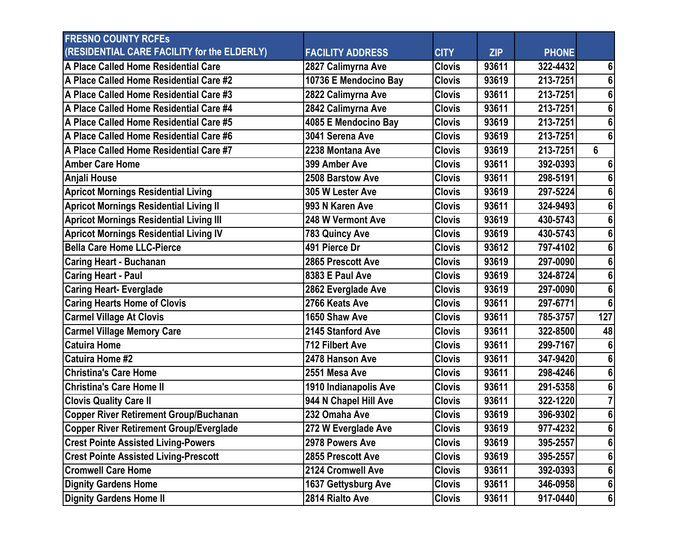| <b>FRESNO COUNTY RCFES</b>                     |                         |               |       |              |                |
|------------------------------------------------|-------------------------|---------------|-------|--------------|----------------|
| (RESIDENTIAL CARE FACILITY for the ELDERLY)    | <b>FACILITY ADDRESS</b> | <b>CITY</b>   | ZIP   | <b>PHONE</b> |                |
| A Place Called Home Residential Care           | 2827 Calimyrna Ave      | <b>Clovis</b> | 93611 | 322-4432     | 6              |
| A Place Called Home Residential Care #2        | 10736 E Mendocino Bay   | <b>Clovis</b> | 93619 | 213-7251     | 6              |
| A Place Called Home Residential Care #3        | 2822 Calimyrna Ave      | <b>Clovis</b> | 93611 | 213-7251     | 6              |
| A Place Called Home Residential Care #4        | 2842 Calimyrna Ave      | <b>Clovis</b> | 93611 | 213-7251     | 6              |
| A Place Called Home Residential Care #5        | 4085 E Mendocino Bay    | <b>Clovis</b> | 93619 | 213-7251     | 6              |
| A Place Called Home Residential Care #6        | 3041 Serena Ave         | <b>Clovis</b> | 93619 | 213-7251     | 6              |
| A Place Called Home Residential Care #7        | 2238 Montana Ave        | <b>Clovis</b> | 93619 | 213-7251     | 6              |
| <b>Amber Care Home</b>                         | 399 Amber Ave           | <b>Clovis</b> | 93611 | 392-0393     |                |
| Anjali House                                   | 2508 Barstow Ave        | <b>Clovis</b> | 93611 | 298-5191     | 6              |
| <b>Apricot Mornings Residential Living</b>     | 305 W Lester Ave        | <b>Clovis</b> | 93619 | 297-5224     | 6              |
| <b>Apricot Mornings Residential Living II</b>  | 993 N Karen Ave         | <b>Clovis</b> | 93611 | 324-9493     | 6              |
| <b>Apricot Mornings Residential Living III</b> | 248 W Vermont Ave       | <b>Clovis</b> | 93619 | 430-5743     | 6              |
| <b>Apricot Mornings Residential Living IV</b>  | 783 Quincy Ave          | <b>Clovis</b> | 93619 | 430-5743     | 6              |
| <b>Bella Care Home LLC-Pierce</b>              | 491 Pierce Dr           | <b>Clovis</b> | 93612 | 797-4102     | 6              |
| <b>Caring Heart - Buchanan</b>                 | 2865 Prescott Ave       | <b>Clovis</b> | 93619 | 297-0090     | 6              |
| <b>Caring Heart - Paul</b>                     | 8383 E Paul Ave         | <b>Clovis</b> | 93619 | 324-8724     | 6              |
| <b>Caring Heart- Everglade</b>                 | 2862 Everglade Ave      | <b>Clovis</b> | 93619 | 297-0090     | 6              |
| <b>Caring Hearts Home of Clovis</b>            | 2766 Keats Ave          | <b>Clovis</b> | 93611 | 297-6771     | 6              |
| <b>Carmel Village At Clovis</b>                | 1650 Shaw Ave           | <b>Clovis</b> | 93611 | 785-3757     | 127            |
| <b>Carmel Village Memory Care</b>              | 2145 Stanford Ave       | <b>Clovis</b> | 93611 | 322-8500     | 48             |
| <b>Catuira Home</b>                            | <b>712 Filbert Ave</b>  | <b>Clovis</b> | 93611 | 299-7167     |                |
| <b>Catuira Home #2</b>                         | 2478 Hanson Ave         | <b>Clovis</b> | 93611 | 347-9420     | 6              |
| <b>Christina's Care Home</b>                   | 2551 Mesa Ave           | <b>Clovis</b> | 93611 | 298-4246     | 6              |
| <b>IChristina's Care Home II</b>               | 1910 Indianapolis Ave   | <b>Clovis</b> | 93611 | 291-5358     | 6              |
| <b>Clovis Quality Care II</b>                  | 944 N Chapel Hill Ave   | <b>Clovis</b> | 93611 | 322-1220     |                |
| <b>Copper River Retirement Group/Buchanan</b>  | 232 Omaha Ave           | <b>Clovis</b> | 93619 | 396-9302     | 6 <sup>1</sup> |
| <b>Copper River Retirement Group/Everglade</b> | 272 W Everglade Ave     | <b>Clovis</b> | 93619 | 977-4232     | $6\phantom{1}$ |
| <b>Crest Pointe Assisted Living-Powers</b>     | 2978 Powers Ave         | <b>Clovis</b> | 93619 | 395-2557     | 6              |
| <b>Crest Pointe Assisted Living-Prescott</b>   | 2855 Prescott Ave       | <b>Clovis</b> | 93619 | 395-2557     | 6              |
| <b>Cromwell Care Home</b>                      | 2124 Cromwell Ave       | <b>Clovis</b> | 93611 | 392-0393     | 6              |
| <b>Dignity Gardens Home</b>                    | 1637 Gettysburg Ave     | <b>Clovis</b> | 93611 | 346-0958     | 6 <sup>1</sup> |
| <b>Dignity Gardens Home II</b>                 | 2814 Rialto Ave         | <b>Clovis</b> | 93611 | 917-0440     | 6 <sup>1</sup> |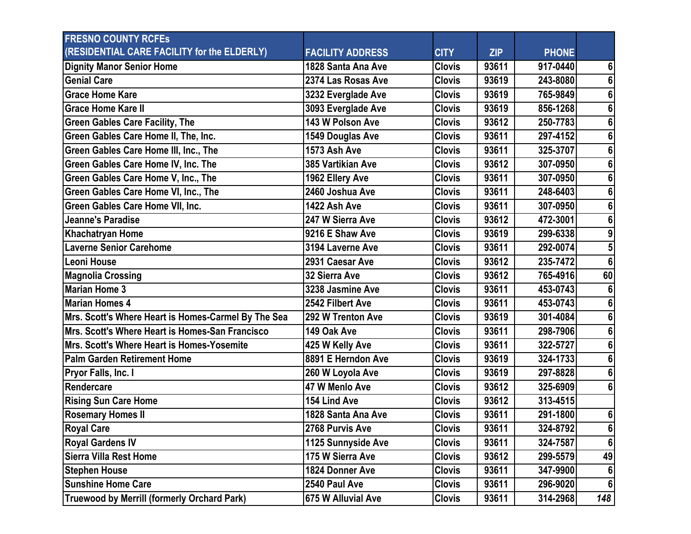| <b>FRESNO COUNTY RCFES</b>                          |                         |               |            |              |                |
|-----------------------------------------------------|-------------------------|---------------|------------|--------------|----------------|
| (RESIDENTIAL CARE FACILITY for the ELDERLY)         | <b>FACILITY ADDRESS</b> | <b>CITY</b>   | <b>ZIP</b> | <b>PHONE</b> |                |
| <b>Dignity Manor Senior Home</b>                    | 1828 Santa Ana Ave      | <b>Clovis</b> | 93611      | 917-0440     | 6              |
| <b>Genial Care</b>                                  | 2374 Las Rosas Ave      | <b>Clovis</b> | 93619      | 243-8080     | 6              |
| <b>Grace Home Kare</b>                              | 3232 Everglade Ave      | <b>Clovis</b> | 93619      | 765-9849     | 6              |
| <b>Grace Home Kare II</b>                           | 3093 Everglade Ave      | <b>Clovis</b> | 93619      | 856-1268     |                |
| <b>Green Gables Care Facility, The</b>              | 143 W Polson Ave        | <b>Clovis</b> | 93612      | 250-7783     |                |
| Green Gables Care Home II, The, Inc.                | 1549 Douglas Ave        | <b>Clovis</b> | 93611      | 297-4152     | 6              |
| Green Gables Care Home III, Inc., The               | 1573 Ash Ave            | <b>Clovis</b> | 93611      | 325-3707     |                |
| Green Gables Care Home IV, Inc. The                 | 385 Vartikian Ave       | <b>Clovis</b> | 93612      | 307-0950     |                |
| Green Gables Care Home V, Inc., The                 | 1962 Ellery Ave         | <b>Clovis</b> | 93611      | 307-0950     |                |
| Green Gables Care Home VI, Inc., The                | 2460 Joshua Ave         | <b>Clovis</b> | 93611      | 248-6403     | 6              |
| Green Gables Care Home VII, Inc.                    | 1422 Ash Ave            | <b>Clovis</b> | 93611      | 307-0950     |                |
| <b>Jeanne's Paradise</b>                            | 247 W Sierra Ave        | <b>Clovis</b> | 93612      | 472-3001     | 6              |
| Khachatryan Home                                    | 9216 E Shaw Ave         | <b>Clovis</b> | 93619      | 299-6338     |                |
| <b>Laverne Senior Carehome</b>                      | 3194 Laverne Ave        | <b>Clovis</b> | 93611      | 292-0074     |                |
| Leoni House                                         | 2931 Caesar Ave         | <b>Clovis</b> | 93612      | 235-7472     | 6 <sup>1</sup> |
| <b>Magnolia Crossing</b>                            | 32 Sierra Ave           | <b>Clovis</b> | 93612      | 765-4916     | 60             |
| <b>Marian Home 3</b>                                | 3238 Jasmine Ave        | <b>Clovis</b> | 93611      | 453-0743     |                |
| <b>Marian Homes 4</b>                               | 2542 Filbert Ave        | <b>Clovis</b> | 93611      | 453-0743     | 6              |
| Mrs. Scott's Where Heart is Homes-Carmel By The Sea | 292 W Trenton Ave       | <b>Clovis</b> | 93619      | 301-4084     | 6              |
| Mrs. Scott's Where Heart is Homes-San Francisco     | 149 Oak Ave             | <b>Clovis</b> | 93611      | 298-7906     |                |
| Mrs. Scott's Where Heart is Homes-Yosemite          | 425 W Kelly Ave         | <b>Clovis</b> | 93611      | 322-5727     |                |
| <b>Palm Garden Retirement Home</b>                  | 8891 E Herndon Ave      | <b>Clovis</b> | 93619      | 324-1733     | 6              |
| Pryor Falls, Inc. I                                 | 260 W Loyola Ave        | <b>Clovis</b> | 93619      | 297-8828     |                |
| Rendercare                                          | 47 W Menlo Ave          | <b>Clovis</b> | 93612      | 325-6909     | 6              |
| <b>Rising Sun Care Home</b>                         | 154 Lind Ave            | <b>Clovis</b> | 93612      | 313-4515     |                |
| <b>Rosemary Homes II</b>                            | 1828 Santa Ana Ave      | <b>Clovis</b> | 93611      | 291-1800     | 6 <sup>1</sup> |
| <b>Royal Care</b>                                   | 2768 Purvis Ave         | <b>Clovis</b> | 93611      | 324-8792     | 6 <sup>1</sup> |
| <b>Royal Gardens IV</b>                             | 1125 Sunnyside Ave      | <b>Clovis</b> | 93611      | 324-7587     | 6 <sup>1</sup> |
| <b>Sierra Villa Rest Home</b>                       | 175 W Sierra Ave        | <b>Clovis</b> | 93612      | 299-5579     | 49             |
| <b>Stephen House</b>                                | 1824 Donner Ave         | <b>Clovis</b> | 93611      | 347-9900     |                |
| <b>Sunshine Home Care</b>                           | 2540 Paul Ave           | <b>Clovis</b> | 93611      | 296-9020     | 61             |
| Truewood by Merrill (formerly Orchard Park)         | 675 W Alluvial Ave      | <b>Clovis</b> | 93611      | 314-2968     | 148            |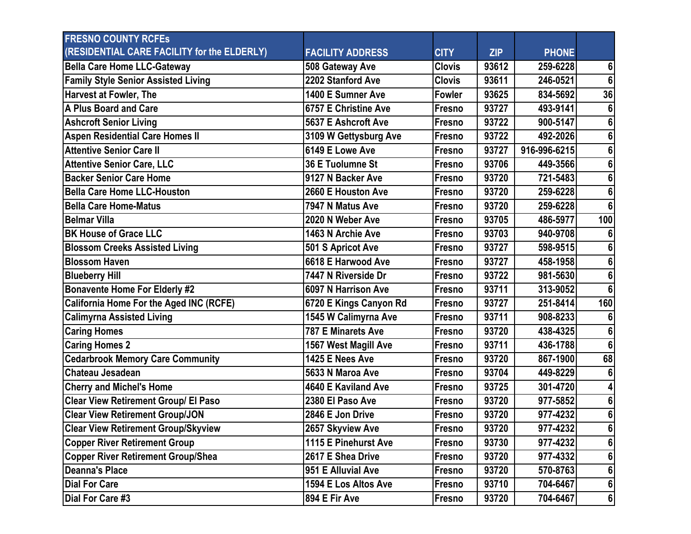| <b>FRESNO COUNTY RCFES</b>                     |                           |               |            |              |                 |
|------------------------------------------------|---------------------------|---------------|------------|--------------|-----------------|
| (RESIDENTIAL CARE FACILITY for the ELDERLY)    | <b>FACILITY ADDRESS</b>   | <b>CITY</b>   | <b>ZIP</b> | <b>PHONE</b> |                 |
| Bella Care Home LLC-Gateway                    | 508 Gateway Ave           | <b>Clovis</b> | 93612      | 259-6228     | 6               |
| <b>Family Style Senior Assisted Living</b>     | 2202 Stanford Ave         | <b>Clovis</b> | 93611      | 246-0521     | $6\phantom{1}6$ |
| <b>Harvest at Fowler, The</b>                  | 1400 E Sumner Ave         | Fowler        | 93625      | 834-5692     | 36              |
| A Plus Board and Care                          | 6757 E Christine Ave      | Fresno        | 93727      | 493-9141     | 6               |
| <b>Ashcroft Senior Living</b>                  | 5637 E Ashcroft Ave       | Fresno        | 93722      | 900-5147     | $6\phantom{a}$  |
| <b>Aspen Residential Care Homes II</b>         | 3109 W Gettysburg Ave     | Fresno        | 93722      | 492-2026     | $6\phantom{a}$  |
| <b>Attentive Senior Care II</b>                | 6149 E Lowe Ave           | Fresno        | 93727      | 916-996-6215 | 6               |
| <b>Attentive Senior Care, LLC</b>              | 36 E Tuolumne St          | Fresno        | 93706      | 449-3566     | $6\phantom{a}$  |
| <b>Backer Senior Care Home</b>                 | 9127 N Backer Ave         | Fresno        | 93720      | 721-5483     | 6               |
| <b>Bella Care Home LLC-Houston</b>             | 2660 E Houston Ave        | Fresno        | 93720      | 259-6228     | 6               |
| <b>Bella Care Home-Matus</b>                   | 7947 N Matus Ave          | Fresno        | 93720      | 259-6228     | $6\phantom{1}6$ |
| <b>Belmar Villa</b>                            | 2020 N Weber Ave          | Fresno        | 93705      | 486-5977     | 100             |
| <b>BK House of Grace LLC</b>                   | 1463 N Archie Ave         | Fresno        | 93703      | 940-9708     | 6               |
| <b>Blossom Creeks Assisted Living</b>          | 501 S Apricot Ave         | Fresno        | 93727      | 598-9515     | 6               |
| <b>Blossom Haven</b>                           | 6618 E Harwood Ave        | Fresno        | 93727      | 458-1958     | 6               |
| <b>Blueberry Hill</b>                          | 7447 N Riverside Dr       | Fresno        | 93722      | 981-5630     | 6               |
| <b>Bonavente Home For Elderly #2</b>           | 6097 N Harrison Ave       | Fresno        | 93711      | 313-9052     | $6\phantom{1}6$ |
| <b>California Home For the Aged INC (RCFE)</b> | 6720 E Kings Canyon Rd    | Fresno        | 93727      | 251-8414     | 160             |
| <b>Calimyrna Assisted Living</b>               | 1545 W Calimyrna Ave      | Fresno        | 93711      | 908-8233     | 6               |
| <b>Caring Homes</b>                            | <b>787 E Minarets Ave</b> | Fresno        | 93720      | 438-4325     | 6               |
| <b>Caring Homes 2</b>                          | 1567 West Magill Ave      | Fresno        | 93711      | 436-1788     | $6\phantom{1}6$ |
| <b>Cedarbrook Memory Care Community</b>        | 1425 E Nees Ave           | Fresno        | 93720      | 867-1900     | 68              |
| Chateau Jesadean                               | 5633 N Maroa Ave          | Fresno        | 93704      | 449-8229     | 6               |
| <b>Cherry and Michel's Home</b>                | 4640 E Kaviland Ave       | Fresno        | 93725      | 301-4720     | 4               |
| <b>Clear View Retirement Group/ El Paso</b>    | 2380 El Paso Ave          | Fresno        | 93720      | 977-5852     | 6               |
| <b>Clear View Retirement Group/JON</b>         | 2846 E Jon Drive          | Fresno        | 93720      | 977-4232     | $6\phantom{a}$  |
| <b>Clear View Retirement Group/Skyview</b>     | 2657 Skyview Ave          | Fresno        | 93720      | 977-4232     | 6               |
| <b>Copper River Retirement Group</b>           | 1115 E Pinehurst Ave      | Fresno        | 93730      | 977-4232     | 6               |
| <b>Copper River Retirement Group/Shea</b>      | 2617 E Shea Drive         | Fresno        | 93720      | 977-4332     | 6               |
| <b>Deanna's Place</b>                          | 951 E Alluvial Ave        | Fresno        | 93720      | 570-8763     | 6               |
| Dial For Care                                  | 1594 E Los Altos Ave      | Fresno        | 93710      | 704-6467     | 6               |
| Dial For Care #3                               | 894 E Fir Ave             | Fresno        | 93720      | 704-6467     | $6\overline{6}$ |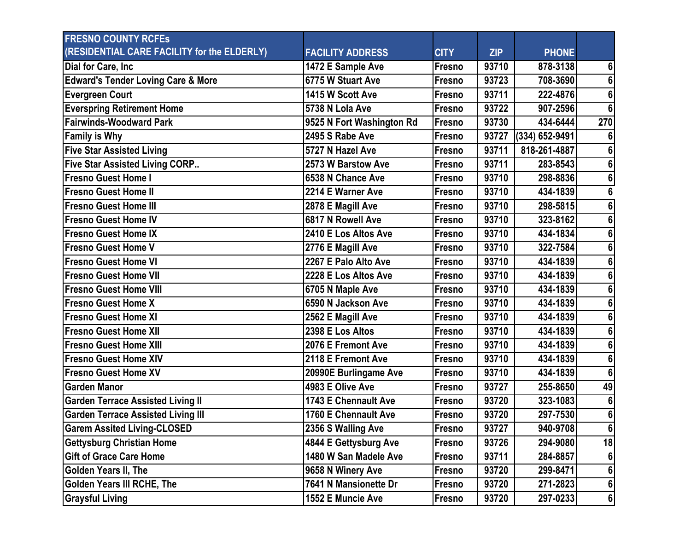| <b>FRESNO COUNTY RCFES</b>                    |                           |               |            |                  |                  |
|-----------------------------------------------|---------------------------|---------------|------------|------------------|------------------|
| (RESIDENTIAL CARE FACILITY for the ELDERLY)   | <b>FACILITY ADDRESS</b>   | <b>CITY</b>   | <b>ZIP</b> | <b>PHONE</b>     |                  |
| Dial for Care, Inc                            | 1472 E Sample Ave         | Fresno        | 93710      | 878-3138         | 6                |
| <b>Edward's Tender Loving Care &amp; More</b> | 6775 W Stuart Ave         | Fresno        | 93723      | 708-3690         | 6                |
| <b>Evergreen Court</b>                        | 1415 W Scott Ave          | Fresno        | 93711      | 222-4876         | 6                |
| <b>Everspring Retirement Home</b>             | 5738 N Lola Ave           | Fresno        | 93722      | 907-2596         | $6\phantom{1}6$  |
| <b>Fairwinds-Woodward Park</b>                | 9525 N Fort Washington Rd | Fresno        | 93730      | 434-6444         | 270              |
| <b>Family is Why</b>                          | 2495 S Rabe Ave           | Fresno        | 93727      | $(334)$ 652-9491 | 6                |
| <b>Five Star Assisted Living</b>              | 5727 N Hazel Ave          | Fresno        | 93711      | 818-261-4887     | 6                |
| <b>Five Star Assisted Living CORP</b>         | 2573 W Barstow Ave        | Fresno        | 93711      | 283-8543         | $\boldsymbol{6}$ |
| <b>Fresno Guest Home I</b>                    | 6538 N Chance Ave         | Fresno        | 93710      | 298-8836         | 6                |
| <b>Fresno Guest Home II</b>                   | 2214 E Warner Ave         | Fresno        | 93710      | 434-1839         | 6                |
| lFresno Guest Home III                        | 2878 E Magill Ave         | Fresno        | 93710      | 298-5815         | $\boldsymbol{6}$ |
| <b>Fresno Guest Home IV</b>                   | 6817 N Rowell Ave         | Fresno        | 93710      | 323-8162         | $6\phantom{a}$   |
| <b>Fresno Guest Home IX</b>                   | 2410 E Los Altos Ave      | Fresno        | 93710      | 434-1834         | 6                |
| lFresno Guest Home V                          | 2776 E Magill Ave         | Fresno        | 93710      | 322-7584         | 6                |
| <b>Fresno Guest Home VI</b>                   | 2267 E Palo Alto Ave      | Fresno        | 93710      | 434-1839         | $6\phantom{a}$   |
| <b>Fresno Guest Home VII</b>                  | 2228 E Los Altos Ave      | Fresno        | 93710      | 434-1839         | 6                |
| lFresno Guest Home VIII                       | 6705 N Maple Ave          | Fresno        | 93710      | 434-1839         | $6\phantom{a}$   |
| <b>Fresno Guest Home X</b>                    | 6590 N Jackson Ave        | Fresno        | 93710      | 434-1839         | $6\phantom{a}$   |
| <b>Fresno Guest Home XI</b>                   | 2562 E Magill Ave         | Fresno        | 93710      | 434-1839         | 6                |
| lFresno Guest Home XII                        | 2398 E Los Altos          | Fresno        | 93710      | 434-1839         | 6                |
| <b>Fresno Guest Home XIII</b>                 | 2076 E Fremont Ave        | Fresno        | 93710      | 434-1839         | $6\phantom{a}$   |
| <b>Fresno Guest Home XIV</b>                  | 2118 E Fremont Ave        | <b>Fresno</b> | 93710      | 434-1839         | 6                |
| <b>Fresno Guest Home XV</b>                   | 20990E Burlingame Ave     | Fresno        | 93710      | 434-1839         | $6\phantom{1}$   |
| <b>Garden Manor</b>                           | 4983 E Olive Ave          | Fresno        | 93727      | 255-8650         | 49               |
| <b>Garden Terrace Assisted Living II</b>      | 1743 E Chennault Ave      | Fresno        | 93720      | 323-1083         | 6                |
| <b>Garden Terrace Assisted Living III</b>     | 1760 E Chennault Ave      | Fresno        | 93720      | 297-7530         | $\overline{6}$   |
| <b>Garem Assited Living-CLOSED</b>            | 2356 S Walling Ave        | Fresno        | 93727      | 940-9708         | 6                |
| <b>Gettysburg Christian Home</b>              | 4844 E Gettysburg Ave     | Fresno        | 93726      | 294-9080         | 18               |
| <b>Gift of Grace Care Home</b>                | 1480 W San Madele Ave     | Fresno        | 93711      | 284-8857         | 6                |
| Golden Years II, The                          | 9658 N Winery Ave         | Fresno        | 93720      | 299-8471         | 6                |
| <b>Golden Years III RCHE, The</b>             | 7641 N Mansionette Dr     | Fresno        | 93720      | 271-2823         | $6\vert$         |
| <b>Graysful Living</b>                        | 1552 E Muncie Ave         | Fresno        | 93720      | 297-0233         | 6 <sup>1</sup>   |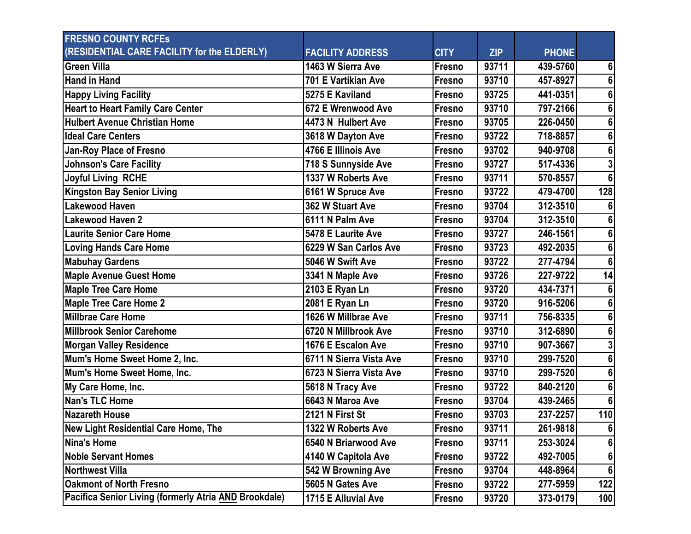| <b>FRESNO COUNTY RCFES</b>                            |                                  |               |            |              |                |
|-------------------------------------------------------|----------------------------------|---------------|------------|--------------|----------------|
| (RESIDENTIAL CARE FACILITY for the ELDERLY)           | <b>FACILITY ADDRESS</b>          | <b>CITY</b>   | <b>ZIP</b> | <b>PHONE</b> |                |
| <b>Green Villa</b>                                    | 1463 W Sierra Ave                | Fresno        | 93711      | 439-5760     | 6              |
| <b>Hand in Hand</b>                                   | 701 E Vartikian Ave              | Fresno        | 93710      | 457-8927     | 6              |
| <b>Happy Living Facility</b>                          | 5275 E Kaviland                  | Fresno        | 93725      | 441-0351     | 6              |
| <b>Heart to Heart Family Care Center</b>              | 672 E Wrenwood Ave               | Fresno        | 93710      | 797-2166     |                |
| <b>Hulbert Avenue Christian Home</b>                  | 4473 N Hulbert Ave               | Fresno        | 93705      | 226-0450     |                |
| <b>Ideal Care Centers</b>                             | 3618 W Dayton Ave                | Fresno        | 93722      | 718-8857     | 6              |
| <b>Jan-Roy Place of Fresno</b>                        | 4766 E Illinois Ave              | Fresno        | 93702      | 940-9708     |                |
| <b>Johnson's Care Facility</b>                        | 718 S Sunnyside Ave              | Fresno        | 93727      | 517-4336     |                |
| <b>Joyful Living RCHE</b>                             | 1337 W Roberts Ave               | <b>Fresno</b> | 93711      | 570-8557     | 6 <sup>1</sup> |
| <b>Kingston Bay Senior Living</b>                     | 6161 W Spruce Ave                | Fresno        | 93722      | 479-4700     | 128            |
| <b>Lakewood Haven</b>                                 | 362 W Stuart Ave                 | Fresno        | 93704      | 312-3510     |                |
| Lakewood Haven 2                                      | 6111 N Palm Ave                  | Fresno        | 93704      | 312-3510     | 6              |
| <b>Laurite Senior Care Home</b>                       | 5478 E Laurite Ave               | Fresno        | 93727      | 246-1561     |                |
| <b>Loving Hands Care Home</b>                         | 6229 W San Carlos Ave            | Fresno        | 93723      | 492-2035     |                |
| <b>Mabuhay Gardens</b>                                | 5046 W Swift Ave                 | Fresno        | 93722      | 277-4794     | 6 <sup>1</sup> |
| <b>Maple Avenue Guest Home</b>                        | 3341 N Maple Ave                 | Fresno        | 93726      | 227-9722     | 14             |
| <b>Maple Tree Care Home</b>                           | 2103 E Ryan Ln                   | Fresno        | 93720      | 434-7371     |                |
| <b>Maple Tree Care Home 2</b>                         | 2081 E Ryan Ln                   | Fresno        | 93720      | 916-5206     | 6              |
| <b>Millbrae Care Home</b>                             | 1626 W Millbrae Ave              | Fresno        | 93711      | 756-8335     |                |
| <b>Millbrook Senior Carehome</b>                      | 6720 N Millbrook Ave             | Fresno        | 93710      | 312-6890     |                |
| <b>Morgan Valley Residence</b>                        | 1676 E Escalon Ave               | Fresno        | 93710      | 907-3667     |                |
| Mum's Home Sweet Home 2, Inc.                         | 6711 N Sierra Vista Ave          | Fresno        | 93710      | 299-7520     | 6              |
| Mum's Home Sweet Home, Inc.                           | 6723 N Sierra Vista Ave          | Fresno        | 93710      | 299-7520     |                |
| My Care Home, Inc.                                    | 5618 N Tracy Ave                 | Fresno        | 93722      | 840-2120     | 6              |
| <b>Nan's TLC Home</b>                                 | 6643 N Maroa Ave                 | Fresno        | 93704      | 439-2465     |                |
| <b>Nazareth House</b>                                 | 2121 N First St                  | Fresno        | 93703      | 237-2257     | 110            |
| New Light Residential Care Home, The                  | 1322 W Roberts Ave               | Fresno        | 93711      | 261-9818     | 6 <sup>1</sup> |
| Nina's Home                                           | 6540 N Briarwood Ave             | Fresno        | 93711      | 253-3024     | 6              |
| <b>Noble Servant Homes</b>                            | 4140 W Capitola Ave              | Fresno        | 93722      | 492-7005     | 6 <sup>1</sup> |
| <b>Northwest Villa</b>                                | 542 W Browning Ave               | Fresno        | 93704      | 448-8964     | 6 <sup>1</sup> |
| <b>Oakmont of North Fresno</b>                        | 5605 N Gates Ave                 | Fresno        | 93722      | 277-5959     | 122            |
| Pacifica Senior Living (formerly Atria AND Brookdale) | $\overline{1715}$ E Alluvial Ave | Fresno        | 93720      | 373-0179     | 100            |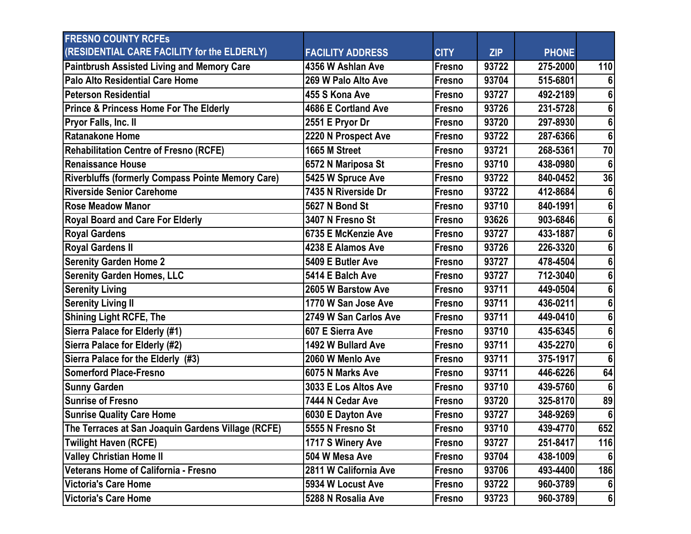| <b>FRESNO COUNTY RCFES</b>                               |                         |             |            |              |                 |
|----------------------------------------------------------|-------------------------|-------------|------------|--------------|-----------------|
| (RESIDENTIAL CARE FACILITY for the ELDERLY)              | <b>FACILITY ADDRESS</b> | <b>CITY</b> | <b>ZIP</b> | <b>PHONE</b> |                 |
| <b>Paintbrush Assisted Living and Memory Care</b>        | 4356 W Ashlan Ave       | Fresno      | 93722      | 275-2000     | 110             |
| Palo Alto Residential Care Home                          | 269 W Palo Alto Ave     | Fresno      | 93704      | 515-6801     | 6               |
| <b>Peterson Residential</b>                              | 455 S Kona Ave          | Fresno      | 93727      | 492-2189     | 6               |
| <b>Prince &amp; Princess Home For The Elderly</b>        | 4686 E Cortland Ave     | Fresno      | 93726      | 231-5728     | 6               |
| <b>Pryor Falls, Inc. II</b>                              | 2551 E Pryor Dr         | Fresno      | 93720      | 297-8930     | 6               |
| Ratanakone Home                                          | 2220 N Prospect Ave     | Fresno      | 93722      | 287-6366     | $6\phantom{1}$  |
| Rehabilitation Centre of Fresno (RCFE)                   | 1665 M Street           | Fresno      | 93721      | 268-5361     | 70              |
| <b>IRenaissance House</b>                                | 6572 N Mariposa St      | Fresno      | 93710      | 438-0980     | $6\phantom{1}6$ |
| <b>Riverbluffs (formerly Compass Pointe Memory Care)</b> | 5425 W Spruce Ave       | Fresno      | 93722      | 840-0452     | 36              |
| <b>Riverside Senior Carehome</b>                         | 7435 N Riverside Dr     | Fresno      | 93722      | 412-8684     | 6               |
| <b>IRose Meadow Manor</b>                                | <b>5627 N Bond St</b>   | Fresno      | 93710      | 840-1991     | 6               |
| <b>Royal Board and Care For Elderly</b>                  | 3407 N Fresno St        | Fresno      | 93626      | 903-6846     | 6               |
| <b>Royal Gardens</b>                                     | 6735 E McKenzie Ave     | Fresno      | 93727      | 433-1887     | $6\phantom{1}$  |
| <b>Royal Gardens II</b>                                  | 4238 E Alamos Ave       | Fresno      | 93726      | 226-3320     | 6               |
| <b>Serenity Garden Home 2</b>                            | 5409 E Butler Ave       | Fresno      | 93727      | 478-4504     | 6               |
| <b>Serenity Garden Homes, LLC</b>                        | 5414 E Balch Ave        | Fresno      | 93727      | 712-3040     | 6               |
| <b>Serenity Living</b>                                   | 2605 W Barstow Ave      | Fresno      | 93711      | 449-0504     | 6               |
| <b>Serenity Living II</b>                                | 1770 W San Jose Ave     | Fresno      | 93711      | 436-0211     | 6               |
| <b>Shining Light RCFE, The</b>                           | 2749 W San Carlos Ave   | Fresno      | 93711      | 449-0410     | 6               |
| Sierra Palace for Elderly (#1)                           | 607 E Sierra Ave        | Fresno      | 93710      | 435-6345     | 6               |
| Sierra Palace for Elderly (#2)                           | 1492 W Bullard Ave      | Fresno      | 93711      | 435-2270     | $6\phantom{a}$  |
| Sierra Palace for the Elderly (#3)                       | 2060 W Menlo Ave        | Fresno      | 93711      | 375-1917     | 6               |
| <b>Somerford Place-Fresno</b>                            | 6075 N Marks Ave        | Fresno      | 93711      | 446-6226     | 64              |
| <b>Sunny Garden</b>                                      | 3033 E Los Altos Ave    | Fresno      | 93710      | 439-5760     | $6\phantom{1}6$ |
| <b>Sunrise of Fresno</b>                                 | 7444 N Cedar Ave        | Fresno      | 93720      | 325-8170     | 89              |
| <b>Sunrise Quality Care Home</b>                         | 6030 E Dayton Ave       | Fresno      | 93727      | 348-9269     | 6               |
| The Terraces at San Joaquin Gardens Village (RCFE)       | 5555 N Fresno St        | Fresno      | 93710      | 439-4770     | 652             |
| <b>Twilight Haven (RCFE)</b>                             | 1717 S Winery Ave       | Fresno      | 93727      | 251-8417     | 116             |
| <b>Valley Christian Home II</b>                          | 504 W Mesa Ave          | Fresno      | 93704      | 438-1009     | 6               |
| Veterans Home of California - Fresno                     | 2811 W California Ave   | Fresno      | 93706      | 493-4400     | 186             |
| <b>Victoria's Care Home</b>                              | 5934 W Locust Ave       | Fresno      | 93722      | 960-3789     | 6 <sup>1</sup>  |
| <b>Victoria's Care Home</b>                              | 5288 N Rosalia Ave      | Fresno      | 93723      | 960-3789     | $6\overline{6}$ |